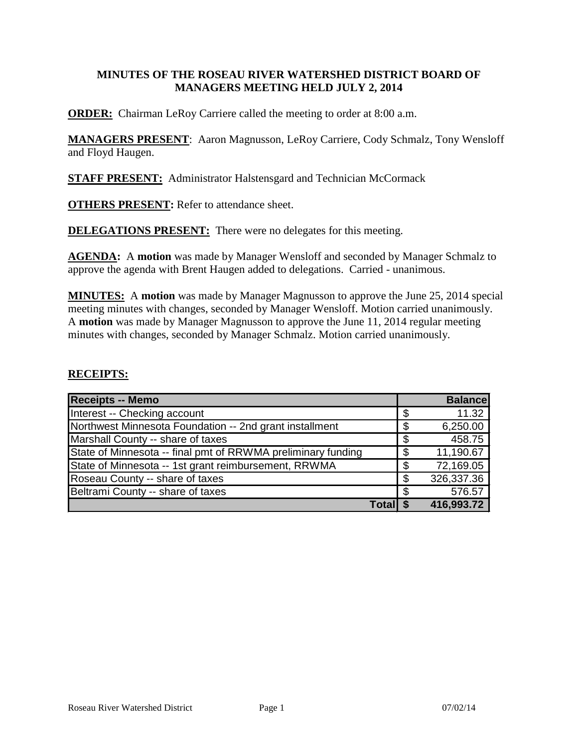# **MINUTES OF THE ROSEAU RIVER WATERSHED DISTRICT BOARD OF MANAGERS MEETING HELD JULY 2, 2014**

**ORDER:** Chairman LeRoy Carriere called the meeting to order at 8:00 a.m.

**MANAGERS PRESENT**: Aaron Magnusson, LeRoy Carriere, Cody Schmalz, Tony Wensloff and Floyd Haugen.

**STAFF PRESENT:** Administrator Halstensgard and Technician McCormack

**OTHERS PRESENT:** Refer to attendance sheet.

**DELEGATIONS PRESENT:** There were no delegates for this meeting.

**AGENDA:** A **motion** was made by Manager Wensloff and seconded by Manager Schmalz to approve the agenda with Brent Haugen added to delegations. Carried - unanimous.

**MINUTES:** A **motion** was made by Manager Magnusson to approve the June 25, 2014 special meeting minutes with changes, seconded by Manager Wensloff. Motion carried unanimously. A **motion** was made by Manager Magnusson to approve the June 11, 2014 regular meeting minutes with changes, seconded by Manager Schmalz. Motion carried unanimously.

### **RECEIPTS:**

| <b>Receipts -- Memo</b>                                      |     | <b>Balance</b> |
|--------------------------------------------------------------|-----|----------------|
| Interest -- Checking account                                 | \$  | 11.32          |
| Northwest Minnesota Foundation -- 2nd grant installment      | \$  | 6,250.00       |
| Marshall County -- share of taxes                            | \$  | 458.75         |
| State of Minnesota -- final pmt of RRWMA preliminary funding | \$  | 11,190.67      |
| State of Minnesota -- 1st grant reimbursement, RRWMA         | \$  | 72,169.05      |
| Roseau County -- share of taxes                              | \$  | 326,337.36     |
| Beltrami County -- share of taxes                            | \$. | 576.57         |
| Totall                                                       |     | 416,993.72     |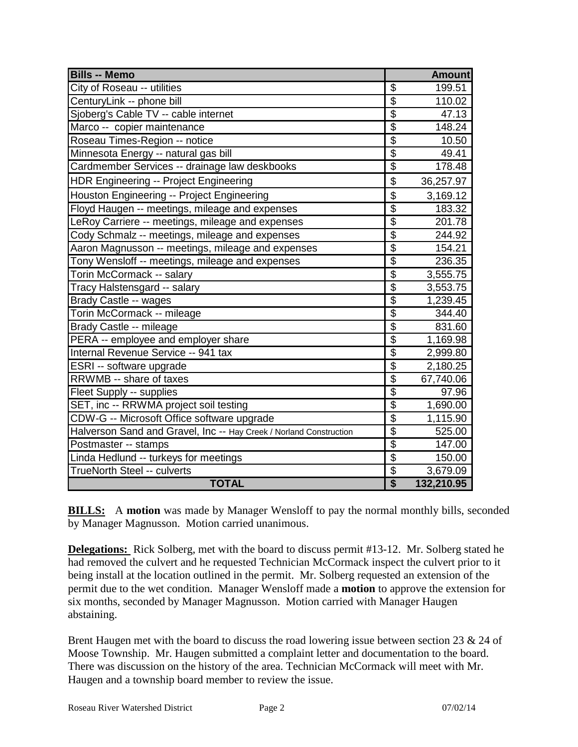| <b>Bills -- Memo</b>                                               |                                      | <b>Amount</b> |
|--------------------------------------------------------------------|--------------------------------------|---------------|
| City of Roseau -- utilities                                        | \$                                   | 199.51        |
| CenturyLink -- phone bill                                          | $\overline{\mathcal{G}}$             | 110.02        |
| Sjoberg's Cable TV -- cable internet                               | $\overline{\$}$                      | 47.13         |
| Marco -- copier maintenance                                        | $\overline{\$}$                      | 148.24        |
| Roseau Times-Region -- notice                                      | $\overline{\$}$                      | 10.50         |
| Minnesota Energy -- natural gas bill                               | $\overline{\$}$                      | 49.41         |
| Cardmember Services -- drainage law deskbooks                      | $\overline{\mathcal{G}}$             | 178.48        |
| HDR Engineering -- Project Engineering                             | $\overline{\$}$                      | 36,257.97     |
| Houston Engineering -- Project Engineering                         | \$                                   | 3,169.12      |
| Floyd Haugen -- meetings, mileage and expenses                     | $\overline{\$}$                      | 183.32        |
| LeRoy Carriere -- meetings, mileage and expenses                   | $\overline{\$}$                      | 201.78        |
| Cody Schmalz -- meetings, mileage and expenses                     | $\overline{\$}$                      | 244.92        |
| Aaron Magnusson -- meetings, mileage and expenses                  | $\overline{\$}$                      | 154.21        |
| Tony Wensloff -- meetings, mileage and expenses                    | $\overline{\mathcal{G}}$             | 236.35        |
| Torin McCormack -- salary                                          | $\overline{\$}$                      | 3,555.75      |
| Tracy Halstensgard -- salary                                       | $\overline{\$}$                      | 3,553.75      |
| Brady Castle -- wages                                              | $\overline{\$}$                      | 1,239.45      |
| Torin McCormack -- mileage                                         | $\overline{\$}$                      | 344.40        |
| Brady Castle -- mileage                                            | $\overline{\mathcal{G}}$             | 831.60        |
| PERA -- employee and employer share                                | $\overline{\mathcal{G}}$             | 1,169.98      |
| Internal Revenue Service -- 941 tax                                | $\overline{\$}$                      | 2,999.80      |
| ESRI -- software upgrade                                           | $\overline{\$}$                      | 2,180.25      |
| RRWMB -- share of taxes                                            | $\overline{\$}$                      | 67,740.06     |
| Fleet Supply -- supplies                                           | $\overline{\$}$                      | 97.96         |
| SET, inc -- RRWMA project soil testing                             | $\frac{6}{9}$                        | 1,690.00      |
| CDW-G -- Microsoft Office software upgrade                         |                                      | 1,115.90      |
| Halverson Sand and Gravel, Inc -- Hay Creek / Norland Construction | $\overline{\$}$                      | 525.00        |
| Postmaster -- stamps                                               | $\overline{\$}$                      | 147.00        |
| Linda Hedlund -- turkeys for meetings                              | $\overline{\$}$                      | 150.00        |
| <b>TrueNorth Steel -- culverts</b>                                 | $\overline{\mathcal{G}}$             | 3,679.09      |
| <b>TOTAL</b>                                                       | $\overline{\boldsymbol{\mathsf{s}}}$ | 132,210.95    |

**BILLS:** A motion was made by Manager Wensloff to pay the normal monthly bills, seconded by Manager Magnusson. Motion carried unanimous.

**Delegations:** Rick Solberg, met with the board to discuss permit #13-12. Mr. Solberg stated he had removed the culvert and he requested Technician McCormack inspect the culvert prior to it being install at the location outlined in the permit. Mr. Solberg requested an extension of the permit due to the wet condition. Manager Wensloff made a **motion** to approve the extension for six months, seconded by Manager Magnusson. Motion carried with Manager Haugen abstaining.

Brent Haugen met with the board to discuss the road lowering issue between section 23 & 24 of Moose Township. Mr. Haugen submitted a complaint letter and documentation to the board. There was discussion on the history of the area. Technician McCormack will meet with Mr. Haugen and a township board member to review the issue.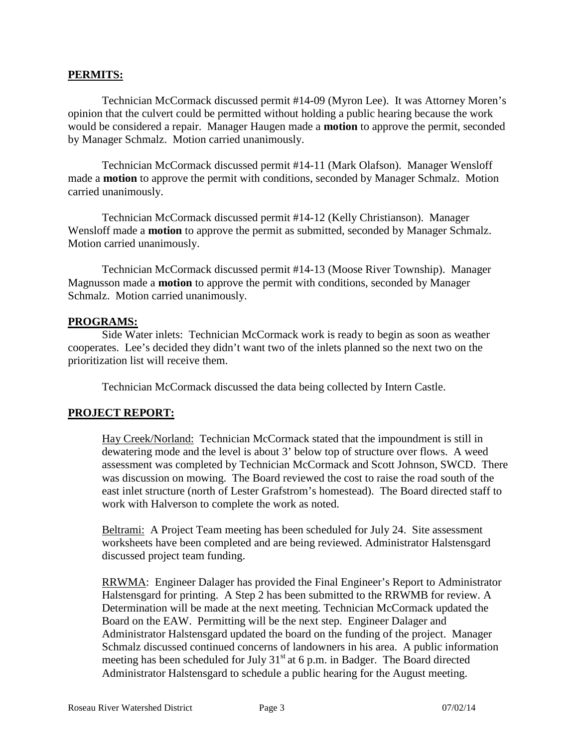### **PERMITS:**

Technician McCormack discussed permit #14-09 (Myron Lee). It was Attorney Moren's opinion that the culvert could be permitted without holding a public hearing because the work would be considered a repair. Manager Haugen made a **motion** to approve the permit, seconded by Manager Schmalz. Motion carried unanimously.

Technician McCormack discussed permit #14-11 (Mark Olafson). Manager Wensloff made a **motion** to approve the permit with conditions, seconded by Manager Schmalz. Motion carried unanimously.

Technician McCormack discussed permit #14-12 (Kelly Christianson). Manager Wensloff made a **motion** to approve the permit as submitted, seconded by Manager Schmalz. Motion carried unanimously.

Technician McCormack discussed permit #14-13 (Moose River Township). Manager Magnusson made a **motion** to approve the permit with conditions, seconded by Manager Schmalz. Motion carried unanimously.

### **PROGRAMS:**

Side Water inlets: Technician McCormack work is ready to begin as soon as weather cooperates. Lee's decided they didn't want two of the inlets planned so the next two on the prioritization list will receive them.

Technician McCormack discussed the data being collected by Intern Castle.

# **PROJECT REPORT:**

Hay Creek/Norland: Technician McCormack stated that the impoundment is still in dewatering mode and the level is about 3' below top of structure over flows. A weed assessment was completed by Technician McCormack and Scott Johnson, SWCD. There was discussion on mowing. The Board reviewed the cost to raise the road south of the east inlet structure (north of Lester Grafstrom's homestead). The Board directed staff to work with Halverson to complete the work as noted.

Beltrami: A Project Team meeting has been scheduled for July 24. Site assessment worksheets have been completed and are being reviewed. Administrator Halstensgard discussed project team funding.

RRWMA: Engineer Dalager has provided the Final Engineer's Report to Administrator Halstensgard for printing. A Step 2 has been submitted to the RRWMB for review. A Determination will be made at the next meeting. Technician McCormack updated the Board on the EAW. Permitting will be the next step. Engineer Dalager and Administrator Halstensgard updated the board on the funding of the project. Manager Schmalz discussed continued concerns of landowners in his area. A public information meeting has been scheduled for July  $31<sup>st</sup>$  at 6 p.m. in Badger. The Board directed Administrator Halstensgard to schedule a public hearing for the August meeting.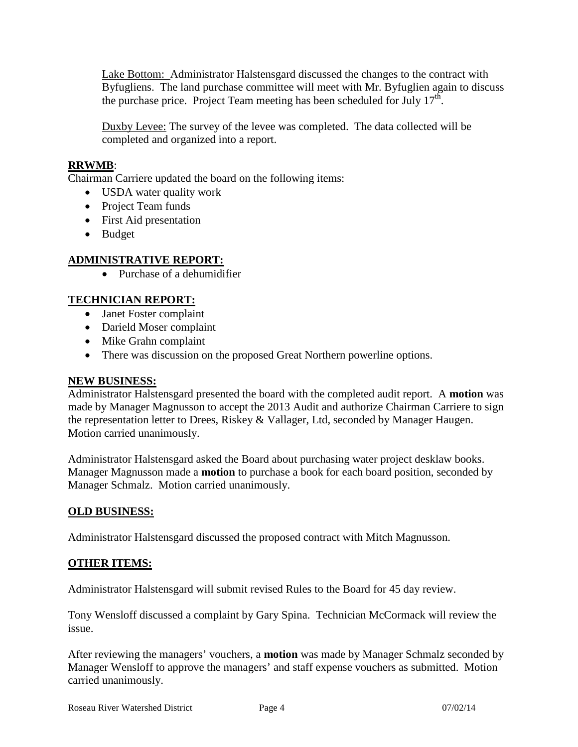Lake Bottom: Administrator Halstensgard discussed the changes to the contract with Byfugliens. The land purchase committee will meet with Mr. Byfuglien again to discuss the purchase price. Project Team meeting has been scheduled for July  $17<sup>th</sup>$ .

Duxby Levee: The survey of the levee was completed. The data collected will be completed and organized into a report.

# **RRWMB**:

Chairman Carriere updated the board on the following items:

- USDA water quality work
- Project Team funds
- First Aid presentation
- Budget

## **ADMINISTRATIVE REPORT:**

• Purchase of a dehumidifier

## **TECHNICIAN REPORT:**

- Janet Foster complaint
- Darield Moser complaint
- Mike Grahn complaint
- There was discussion on the proposed Great Northern powerline options.

### **NEW BUSINESS:**

Administrator Halstensgard presented the board with the completed audit report. A **motion** was made by Manager Magnusson to accept the 2013 Audit and authorize Chairman Carriere to sign the representation letter to Drees, Riskey & Vallager, Ltd, seconded by Manager Haugen. Motion carried unanimously.

Administrator Halstensgard asked the Board about purchasing water project desklaw books. Manager Magnusson made a **motion** to purchase a book for each board position, seconded by Manager Schmalz. Motion carried unanimously.

### **OLD BUSINESS:**

Administrator Halstensgard discussed the proposed contract with Mitch Magnusson.

### **OTHER ITEMS:**

Administrator Halstensgard will submit revised Rules to the Board for 45 day review.

Tony Wensloff discussed a complaint by Gary Spina. Technician McCormack will review the issue.

After reviewing the managers' vouchers, a **motion** was made by Manager Schmalz seconded by Manager Wensloff to approve the managers' and staff expense vouchers as submitted. Motion carried unanimously.